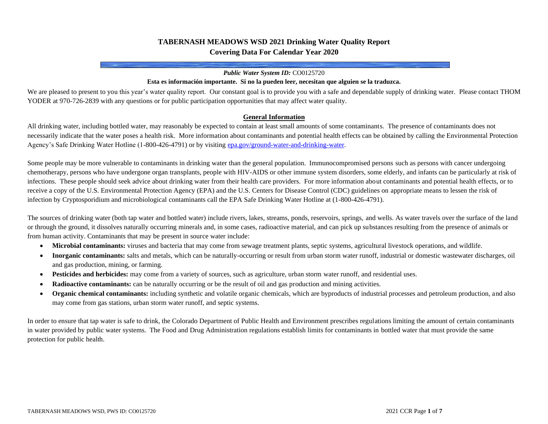# **TABERNASH MEADOWS WSD 2021 Drinking Water Quality Report Covering Data For Calendar Year 2020**

#### *Public Water System ID:* CO0125720

#### **Esta es información importante. Si no la pueden leer, necesitan que alguien se la traduzca.**

We are pleased to present to you this year's water quality report. Our constant goal is to provide you with a safe and dependable supply of drinking water. Please contact THOM YODER at 970-726-2839 with any questions or for public participation opportunities that may affect water quality.

### **General Information**

All drinking water, including bottled water, may reasonably be expected to contain at least small amounts of some contaminants. The presence of contaminants does not necessarily indicate that the water poses a health risk. More information about contaminants and potential health effects can be obtained by calling the Environmental Protection Agency's Safe Drinking Water Hotline (1-800-426-4791) or by visitin[g epa.gov/ground-water-and-drinking-water.](https://www.epa.gov/ground-water-and-drinking-water)

Some people may be more vulnerable to contaminants in drinking water than the general population. Immunocompromised persons such as persons with cancer undergoing chemotherapy, persons who have undergone organ transplants, people with HIV-AIDS or other immune system disorders, some elderly, and infants can be particularly at risk of infections. These people should seek advice about drinking water from their health care providers. For more information about contaminants and potential health effects, or to receive a copy of the U.S. Environmental Protection Agency (EPA) and the U.S. Centers for Disease Control (CDC) guidelines on appropriate means to lessen the risk of infection by Cryptosporidium and microbiological contaminants call the EPA Safe Drinking Water Hotline at (1-800-426-4791).

The sources of drinking water (both tap water and bottled water) include rivers, lakes, streams, ponds, reservoirs, springs, and wells. As water travels over the surface of the land or through the ground, it dissolves naturally occurring minerals and, in some cases, radioactive material, and can pick up substances resulting from the presence of animals or from human activity. Contaminants that may be present in source water include:

- **Microbial contaminants:** viruses and bacteria that may come from sewage treatment plants, septic systems, agricultural livestock operations, and wildlife.
- **Inorganic contaminants:** salts and metals, which can be naturally-occurring or result from urban storm water runoff, industrial or domestic wastewater discharges, oil and gas production, mining, or farming.
- **Pesticides and herbicides:** may come from a variety of sources, such as agriculture, urban storm water runoff, and residential uses.
- **Radioactive contaminants:** can be naturally occurring or be the result of oil and gas production and mining activities.
- **Organic chemical contaminants:** including synthetic and volatile organic chemicals, which are byproducts of industrial processes and petroleum production, and also may come from gas stations, urban storm water runoff, and septic systems.

In order to ensure that tap water is safe to drink, the Colorado Department of Public Health and Environment prescribes regulations limiting the amount of certain contaminants in water provided by public water systems. The Food and Drug Administration regulations establish limits for contaminants in bottled water that must provide the same protection for public health.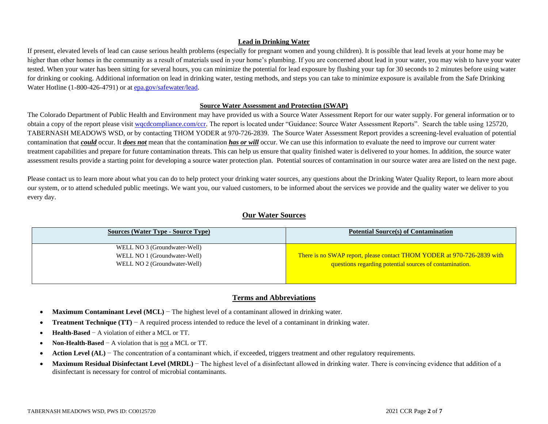## **Lead in Drinking Water**

If present, elevated levels of lead can cause serious health problems (especially for pregnant women and young children). It is possible that lead levels at your home may be higher than other homes in the community as a result of materials used in your home's plumbing. If you are concerned about lead in your water, you may wish to have your water tested. When your water has been sitting for several hours, you can minimize the potential for lead exposure by flushing your tap for 30 seconds to 2 minutes before using water for drinking or cooking. Additional information on lead in drinking water, testing methods, and steps you can take to minimize exposure is available from the Safe Drinking Water Hotline (1-800-426-4791) or a[t epa.gov/safewater/lead.](http://www.epa.gov/safewater/lead)

### **Source Water Assessment and Protection (SWAP)**

The Colorado Department of Public Health and Environment may have provided us with a Source Water Assessment Report for our water supply. For general information or to obtain a copy of the report please visit wordcompliance.com/ccr. The report is located under "Guidance: Source Water Assessment Reports". Search the table using 125720, TABERNASH MEADOWS WSD, or by contacting THOM YODER at 970-726-2839. The Source Water Assessment Report provides a screening-level evaluation of potential contamination that *could* occur. It *does not* mean that the contamination *has or will* occur. We can use this information to evaluate the need to improve our current water treatment capabilities and prepare for future contamination threats. This can help us ensure that quality finished water is delivered to your homes. In addition, the source water assessment results provide a starting point for developing a source water protection plan. Potential sources of contamination in our source water area are listed on the next page.

Please contact us to learn more about what you can do to help protect your drinking water sources, any questions about the Drinking Water Quality Report, to learn more about our system, or to attend scheduled public meetings. We want you, our valued customers, to be informed about the services we provide and the quality water we deliver to you every day.

## **Our Water Sources**

| <b>Sources (Water Type - Source Type)</b> | <b>Potential Source(s) of Contamination</b>                             |  |  |  |  |
|-------------------------------------------|-------------------------------------------------------------------------|--|--|--|--|
| WELL NO 3 (Groundwater-Well)              |                                                                         |  |  |  |  |
| WELL NO 1 (Groundwater-Well)              | There is no SWAP report, please contact THOM YODER at 970-726-2839 with |  |  |  |  |
| WELL NO 2 (Groundwater-Well)              | questions regarding potential sources of contamination.                 |  |  |  |  |
|                                           |                                                                         |  |  |  |  |

# **Terms and Abbreviations**

- **Maximum Contaminant Level (MCL)** − The highest level of a contaminant allowed in drinking water.
- **Treatment Technique (TT)** − A required process intended to reduce the level of a contaminant in drinking water.
- **Health-Based** − A violation of either a MCL or TT.
- **Non-Health-Based** − A violation that is not a MCL or TT.
- **Action Level (AL)** − The concentration of a contaminant which, if exceeded, triggers treatment and other regulatory requirements.
- Maximum Residual Disinfectant Level (MRDL) The highest level of a disinfectant allowed in drinking water. There is convincing evidence that addition of a disinfectant is necessary for control of microbial contaminants.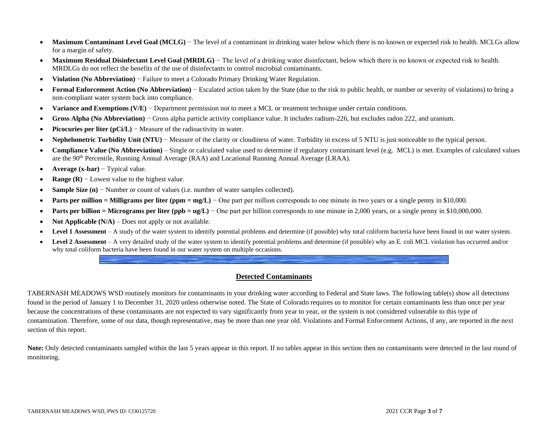- Maximum Contaminant Level Goal (MCLG) The level of a contaminant in drinking water below which there is no known or expected risk to health. MCLGs allow for a margin of safety.
- **Maximum Residual Disinfectant Level Goal (MRDLG)** The level of a drinking water disinfectant, below which there is no known or expected risk to health. MRDLGs do not reflect the benefits of the use of disinfectants to control microbial contaminants.
- **Violation (No Abbreviation)** − Failure to meet a Colorado Primary Drinking Water Regulation.
- **Formal Enforcement Action (No Abbreviation)** − Escalated action taken by the State (due to the risk to public health, or number or severity of violations) to bring a non-compliant water system back into compliance.
- **Variance and Exemptions (V/E)** − Department permission not to meet a MCL or treatment technique under certain conditions.
- **Gross Alpha (No Abbreviation)** − Gross alpha particle activity compliance value. It includes radium-226, but excludes radon 222, and uranium.
- **Picocuries per liter (pCi/L)** − Measure of the radioactivity in water.
- **Nephelometric Turbidity Unit (NTU)** − Measure of the clarity or cloudiness of water. Turbidity in excess of 5 NTU is just noticeable to the typical person.
- **Compliance Value (No Abbreviation)** Single or calculated value used to determine if regulatory contaminant level (e.g. MCL) is met. Examples of calculated values are the 90th Percentile, Running Annual Average (RAA) and Locational Running Annual Average (LRAA).
- **Average (x-bar)** − Typical value.
- **Range (R)** − Lowest value to the highest value.
- **Sample Size (n)** − Number or count of values (i.e. number of water samples collected).
- **• Parts per million = Milligrams per liter (ppm = mg/L)** One part per million corresponds to one minute in two years or a single penny in \$10,000.
- **Parts per billion = Micrograms per liter (ppb = ug/L)** One part per billion corresponds to one minute in 2,000 years, or a single penny in \$10,000,000.
- **Not Applicable (N/A)** Does not apply or not available.
- **Level 1 Assessment** A study of the water system to identify potential problems and determine (if possible) why total coliform bacteria have been found in our water system.
- Level 2 Assessment A very detailed study of the water system to identify potential problems and determine (if possible) why an E. coli MCL violation has occurred and/or why total coliform bacteria have been found in our water system on multiple occasions.

# **Detected Contaminants**

TABERNASH MEADOWS WSD routinely monitors for contaminants in your drinking water according to Federal and State laws. The following table(s) show all detections found in the period of January 1 to December 31, 2020 unless otherwise noted. The State of Colorado requires us to monitor for certain contaminants less than once per year because the concentrations of these contaminants are not expected to vary significantly from year to year, or the system is not considered vulnerable to this type of contamination. Therefore, some of our data, though representative, may be more than one year old. Violations and Formal Enforcement Actions, if any, are reported in the next section of this report.

Note: Only detected contaminants sampled within the last 5 years appear in this report. If no tables appear in this section then no contaminants were detected in the last round of monitoring.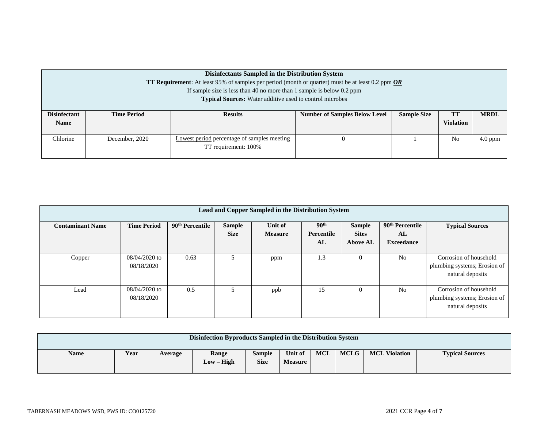| Disinfectants Sampled in the Distribution System                                                                      |                                                                         |                                                                 |                                      |                    |                  |             |  |  |  |  |  |
|-----------------------------------------------------------------------------------------------------------------------|-------------------------------------------------------------------------|-----------------------------------------------------------------|--------------------------------------|--------------------|------------------|-------------|--|--|--|--|--|
| <b>TT Requirement:</b> At least 95% of samples per period (month or quarter) must be at least 0.2 ppm $\overline{OR}$ |                                                                         |                                                                 |                                      |                    |                  |             |  |  |  |  |  |
|                                                                                                                       | If sample size is less than 40 no more than 1 sample is below $0.2$ ppm |                                                                 |                                      |                    |                  |             |  |  |  |  |  |
|                                                                                                                       |                                                                         | <b>Typical Sources:</b> Water additive used to control microbes |                                      |                    |                  |             |  |  |  |  |  |
|                                                                                                                       |                                                                         |                                                                 |                                      |                    |                  |             |  |  |  |  |  |
| <b>Disinfectant</b>                                                                                                   | <b>Time Period</b>                                                      | <b>Results</b>                                                  | <b>Number of Samples Below Level</b> | <b>Sample Size</b> | TT               | <b>MRDL</b> |  |  |  |  |  |
| <b>Name</b>                                                                                                           |                                                                         |                                                                 |                                      |                    | <b>Violation</b> |             |  |  |  |  |  |
|                                                                                                                       |                                                                         |                                                                 |                                      |                    |                  |             |  |  |  |  |  |
| Chlorine                                                                                                              | December, 2020                                                          | Lowest period percentage of samples meeting                     |                                      |                    | No               | $4.0$ ppm   |  |  |  |  |  |
|                                                                                                                       |                                                                         | TT requirement: 100%                                            |                                      |                    |                  |             |  |  |  |  |  |
|                                                                                                                       |                                                                         |                                                                 |                                      |                    |                  |             |  |  |  |  |  |

| Lead and Copper Sampled in the Distribution System |                               |                             |                              |                           |                                      |                                                  |                                                        |                                                                            |  |  |  |
|----------------------------------------------------|-------------------------------|-----------------------------|------------------------------|---------------------------|--------------------------------------|--------------------------------------------------|--------------------------------------------------------|----------------------------------------------------------------------------|--|--|--|
| <b>Contaminant Name</b>                            | <b>Time Period</b>            | 90 <sup>th</sup> Percentile | <b>Sample</b><br><b>Size</b> | Unit of<br><b>Measure</b> | 90 <sup>th</sup><br>Percentile<br>AL | <b>Sample</b><br><b>Sites</b><br><b>Above AL</b> | 90 <sup>th</sup> Percentile<br>AL<br><b>Exceedance</b> | <b>Typical Sources</b>                                                     |  |  |  |
| Copper                                             | $08/04/2020$ to<br>08/18/2020 | 0.63                        | 5                            | ppm                       | 1.3                                  | O                                                | N <sub>0</sub>                                         | Corrosion of household<br>plumbing systems; Erosion of<br>natural deposits |  |  |  |
| Lead                                               | $08/04/2020$ to<br>08/18/2020 | 0.5                         | 5                            | ppb                       | 15                                   | 0                                                | N <sub>0</sub>                                         | Corrosion of household<br>plumbing systems; Erosion of<br>natural deposits |  |  |  |

| Disinfection Byproducts Sampled in the Distribution System |      |         |                     |                              |                           |     |             |                      |                        |
|------------------------------------------------------------|------|---------|---------------------|------------------------------|---------------------------|-----|-------------|----------------------|------------------------|
| <b>Name</b>                                                | Year | Average | Range<br>Low – High | <b>Sample</b><br><b>Size</b> | Unit of<br><b>Measure</b> | MCL | <b>MCLG</b> | <b>MCL Violation</b> | <b>Typical Sources</b> |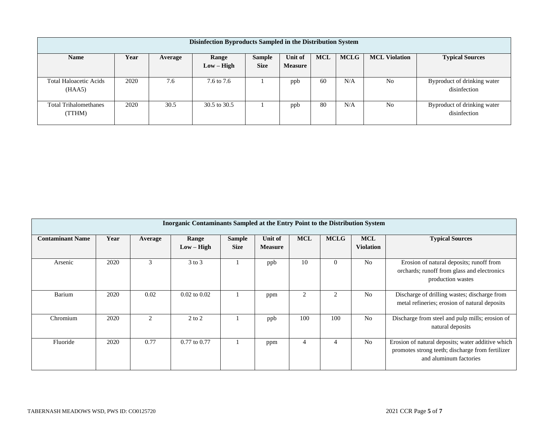| Disinfection Byproducts Sampled in the Distribution System |      |         |              |               |                |            |             |                      |                                             |  |  |
|------------------------------------------------------------|------|---------|--------------|---------------|----------------|------------|-------------|----------------------|---------------------------------------------|--|--|
| <b>Name</b>                                                | Year | Average | Range        | <b>Sample</b> | Unit of        | <b>MCL</b> | <b>MCLG</b> | <b>MCL Violation</b> | <b>Typical Sources</b>                      |  |  |
|                                                            |      |         | $Low - High$ | <b>Size</b>   | <b>Measure</b> |            |             |                      |                                             |  |  |
| <b>Total Haloacetic Acids</b><br>(HAA5)                    | 2020 | 7.6     | 7.6 to 7.6   |               | ppb            | 60         | N/A         | N <sub>0</sub>       | Byproduct of drinking water<br>disinfection |  |  |
| <b>Total Trihalomethanes</b><br>(TTHM)                     | 2020 | 30.5    | 30.5 to 30.5 |               | ppb            | 80         | N/A         | N <sub>0</sub>       | Byproduct of drinking water<br>disinfection |  |  |

| <b>Inorganic Contaminants Sampled at the Entry Point to the Distribution System</b> |      |         |                       |                              |                           |                |             |                                |                                                                                                                                 |  |  |
|-------------------------------------------------------------------------------------|------|---------|-----------------------|------------------------------|---------------------------|----------------|-------------|--------------------------------|---------------------------------------------------------------------------------------------------------------------------------|--|--|
| <b>Contaminant Name</b>                                                             | Year | Average | Range<br>$Low - High$ | <b>Sample</b><br><b>Size</b> | Unit of<br><b>Measure</b> | <b>MCL</b>     | <b>MCLG</b> | <b>MCL</b><br><b>Violation</b> | <b>Typical Sources</b>                                                                                                          |  |  |
| Arsenic                                                                             | 2020 | 3       | $3$ to $3$            |                              | ppb                       | 10             | $\theta$    | N <sub>o</sub>                 | Erosion of natural deposits; runoff from<br>orchards; runoff from glass and electronics<br>production wastes                    |  |  |
| <b>Barium</b>                                                                       | 2020 | 0.02    | $0.02$ to $0.02$      |                              | ppm                       | $\overline{2}$ |             | N <sub>o</sub>                 | Discharge of drilling wastes; discharge from<br>metal refineries; erosion of natural deposits                                   |  |  |
| Chromium                                                                            | 2020 | 2       | $2$ to $2$            |                              | ppb                       | 100            | 100         | N <sub>o</sub>                 | Discharge from steel and pulp mills; erosion of<br>natural deposits                                                             |  |  |
| Fluoride                                                                            | 2020 | 0.77    | $0.77$ to $0.77$      |                              | ppm                       | 4              |             | No                             | Erosion of natural deposits; water additive which<br>promotes strong teeth; discharge from fertilizer<br>and aluminum factories |  |  |